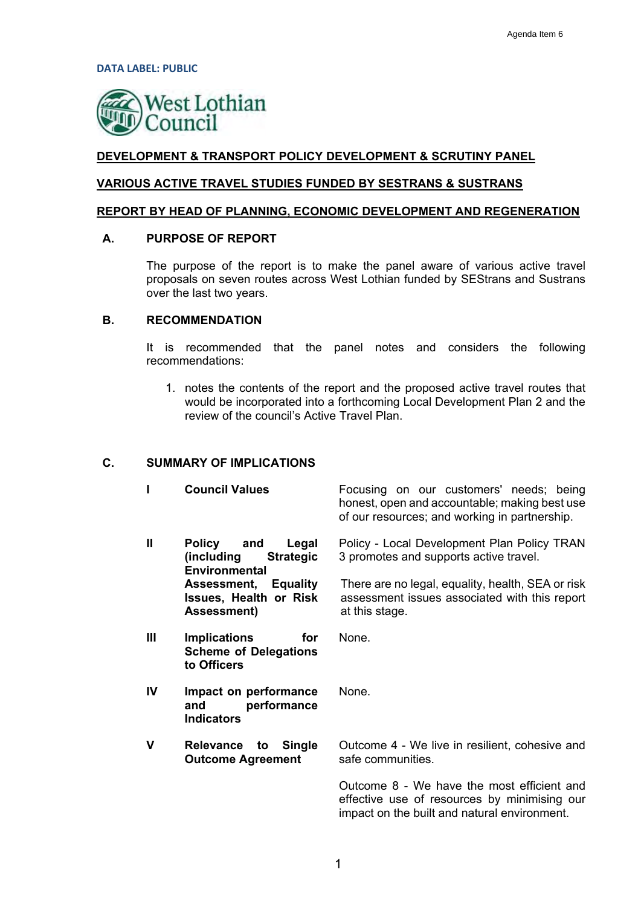**DATA LABEL: PUBLIC** 



## **DEVELOPMENT & TRANSPORT POLICY DEVELOPMENT & SCRUTINY PANEL**

#### **VARIOUS ACTIVE TRAVEL STUDIES FUNDED BY SESTRANS & SUSTRANS**

#### **REPORT BY HEAD OF PLANNING, ECONOMIC DEVELOPMENT AND REGENERATION**

#### **A. PURPOSE OF REPORT**

The purpose of the report is to make the panel aware of various active travel proposals on seven routes across West Lothian funded by SEStrans and Sustrans over the last two years.

## **B. RECOMMENDATION**

It is recommended that the panel notes and considers the following recommendations:

1. notes the contents of the report and the proposed active travel routes that would be incorporated into a forthcoming Local Development Plan 2 and the review of the council's Active Travel Plan.

#### **C. SUMMARY OF IMPLICATIONS**

|              | <b>Council Values</b>                                                              | Focusing on our customers' needs; being<br>honest, open and accountable; making best use<br>of our resources; and working in partnership. |
|--------------|------------------------------------------------------------------------------------|-------------------------------------------------------------------------------------------------------------------------------------------|
| $\mathbf{I}$ | Policy and<br>Legal<br>(including<br><b>Strategic</b><br><b>Environmental</b>      | Policy - Local Development Plan Policy TRAN<br>3 promotes and supports active travel.                                                     |
|              | <b>Assessment, Equality</b><br><b>Issues, Health or Risk</b><br><b>Assessment)</b> | There are no legal, equality, health, SEA or risk<br>assessment issues associated with this report<br>at this stage.                      |
| Ш            | <b>Implications</b><br>for<br><b>Scheme of Delegations</b><br>to Officers          | None.                                                                                                                                     |
| IV           | Impact on performance<br>performance<br>and<br><b>Indicators</b>                   | None.                                                                                                                                     |
| v            | <b>Relevance</b><br><b>Single</b><br>to<br><b>Outcome Agreement</b>                | Outcome 4 - We live in resilient, cohesive and<br>safe communities.                                                                       |
|              |                                                                                    | Outcome 8 - We have the most efficient and<br>effective use of resources by minimising our                                                |

impact on the built and natural environment.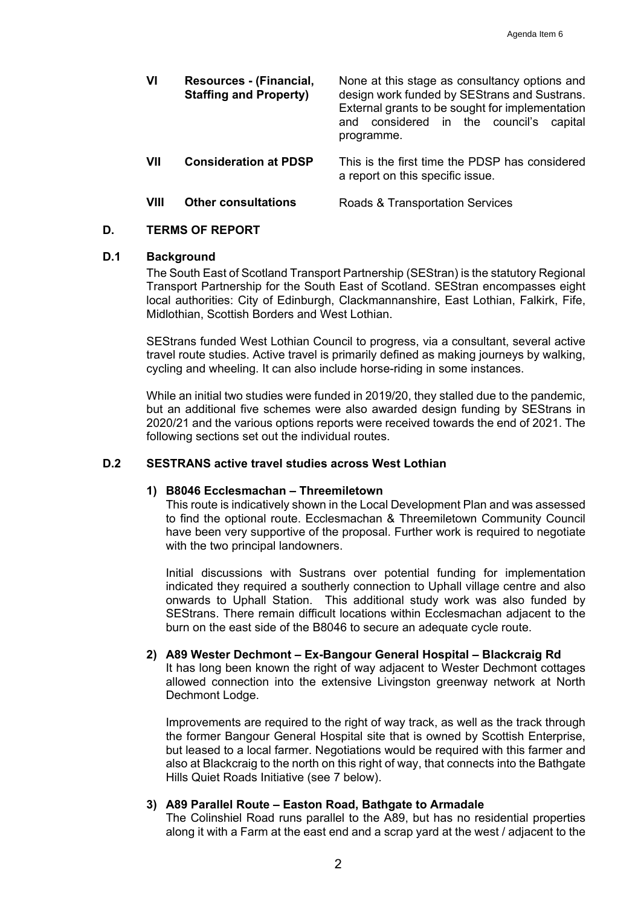| VI   | Resources - (Financial,<br><b>Staffing and Property)</b> | None at this stage as consultancy options and<br>design work funded by SEStrans and Sustrans.<br>External grants to be sought for implementation<br>and considered in the council's capital<br>programme. |
|------|----------------------------------------------------------|-----------------------------------------------------------------------------------------------------------------------------------------------------------------------------------------------------------|
| VII  | <b>Consideration at PDSP</b>                             | This is the first time the PDSP has considered<br>a report on this specific issue.                                                                                                                        |
| VIII | <b>Other consultations</b>                               | Roads & Transportation Services                                                                                                                                                                           |

## **D. TERMS OF REPORT**

## **D.1 Background**

The South East of Scotland Transport Partnership (SEStran) is the statutory Regional Transport Partnership for the South East of Scotland. SEStran encompasses eight local authorities: City of Edinburgh, Clackmannanshire, East Lothian, Falkirk, Fife, Midlothian, Scottish Borders and West Lothian.

SEStrans funded West Lothian Council to progress, via a consultant, several active travel route studies. Active travel is primarily defined as making journeys by walking, cycling and wheeling. It can also include horse-riding in some instances.

While an initial two studies were funded in 2019/20, they stalled due to the pandemic, but an additional five schemes were also awarded design funding by SEStrans in 2020/21 and the various options reports were received towards the end of 2021. The following sections set out the individual routes.

## **D.2 SESTRANS active travel studies across West Lothian**

#### **1) B8046 Ecclesmachan – Threemiletown**

This route is indicatively shown in the Local Development Plan and was assessed to find the optional route. Ecclesmachan & Threemiletown Community Council have been very supportive of the proposal. Further work is required to negotiate with the two principal landowners.

Initial discussions with Sustrans over potential funding for implementation indicated they required a southerly connection to Uphall village centre and also onwards to Uphall Station. This additional study work was also funded by SEStrans. There remain difficult locations within Ecclesmachan adjacent to the burn on the east side of the B8046 to secure an adequate cycle route.

# **2) A89 Wester Dechmont – Ex-Bangour General Hospital – Blackcraig Rd**

It has long been known the right of way adjacent to Wester Dechmont cottages allowed connection into the extensive Livingston greenway network at North Dechmont Lodge.

Improvements are required to the right of way track, as well as the track through the former Bangour General Hospital site that is owned by Scottish Enterprise, but leased to a local farmer. Negotiations would be required with this farmer and also at Blackcraig to the north on this right of way, that connects into the Bathgate Hills Quiet Roads Initiative (see 7 below).

## **3) A89 Parallel Route – Easton Road, Bathgate to Armadale**

The Colinshiel Road runs parallel to the A89, but has no residential properties along it with a Farm at the east end and a scrap yard at the west / adjacent to the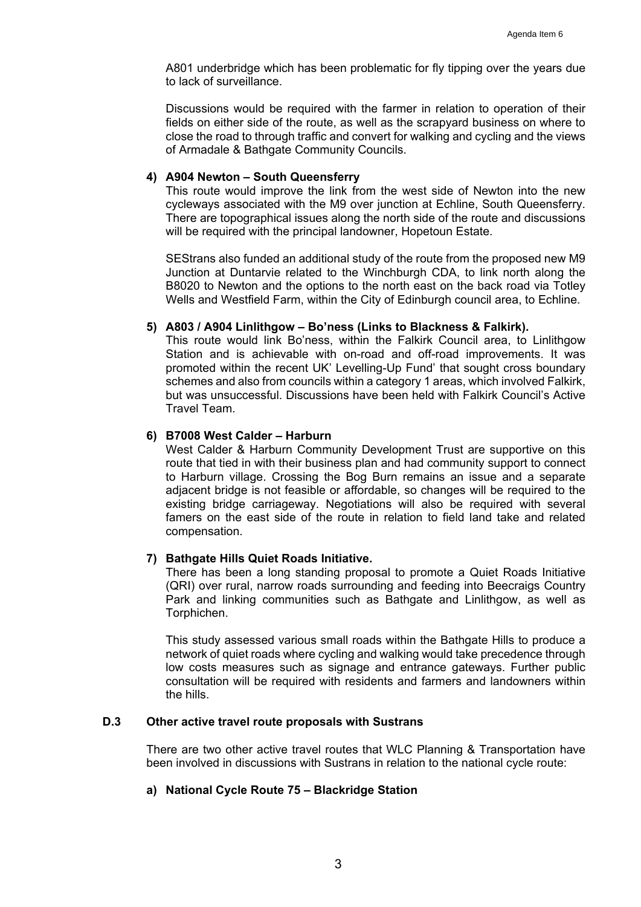A801 underbridge which has been problematic for fly tipping over the years due to lack of surveillance.

Discussions would be required with the farmer in relation to operation of their fields on either side of the route, as well as the scrapyard business on where to close the road to through traffic and convert for walking and cycling and the views of Armadale & Bathgate Community Councils.

## **4) A904 Newton – South Queensferry**

This route would improve the link from the west side of Newton into the new cycleways associated with the M9 over junction at Echline, South Queensferry. There are topographical issues along the north side of the route and discussions will be required with the principal landowner. Hopetoun Estate.

SEStrans also funded an additional study of the route from the proposed new M9 Junction at Duntarvie related to the Winchburgh CDA, to link north along the B8020 to Newton and the options to the north east on the back road via Totley Wells and Westfield Farm, within the City of Edinburgh council area, to Echline.

#### **5) A803 / A904 Linlithgow – Bo'ness (Links to Blackness & Falkirk).**

This route would link Bo'ness, within the Falkirk Council area, to Linlithgow Station and is achievable with on-road and off-road improvements. It was promoted within the recent UK' Levelling-Up Fund' that sought cross boundary schemes and also from councils within a category 1 areas, which involved Falkirk, but was unsuccessful. Discussions have been held with Falkirk Council's Active Travel Team.

## **6) B7008 West Calder – Harburn**

West Calder & Harburn Community Development Trust are supportive on this route that tied in with their business plan and had community support to connect to Harburn village. Crossing the Bog Burn remains an issue and a separate adjacent bridge is not feasible or affordable, so changes will be required to the existing bridge carriageway. Negotiations will also be required with several famers on the east side of the route in relation to field land take and related compensation.

## **7) Bathgate Hills Quiet Roads Initiative.**

There has been a long standing proposal to promote a Quiet Roads Initiative (QRI) over rural, narrow roads surrounding and feeding into Beecraigs Country Park and linking communities such as Bathgate and Linlithgow, as well as Torphichen.

This study assessed various small roads within the Bathgate Hills to produce a network of quiet roads where cycling and walking would take precedence through low costs measures such as signage and entrance gateways. Further public consultation will be required with residents and farmers and landowners within the hills.

## **D.3 Other active travel route proposals with Sustrans**

There are two other active travel routes that WLC Planning & Transportation have been involved in discussions with Sustrans in relation to the national cycle route:

## **a) National Cycle Route 75 – Blackridge Station**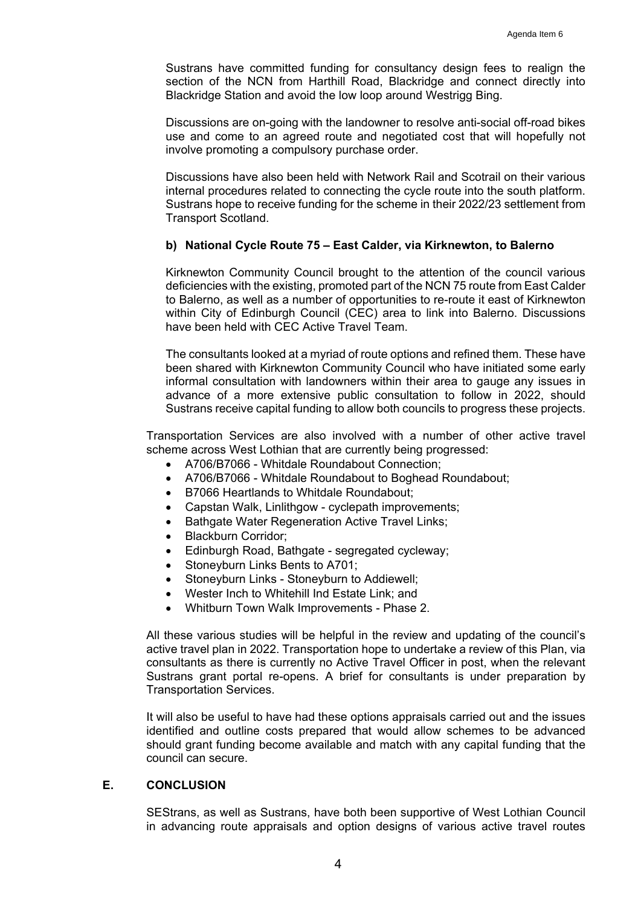Sustrans have committed funding for consultancy design fees to realign the section of the NCN from Harthill Road, Blackridge and connect directly into Blackridge Station and avoid the low loop around Westrigg Bing.

Discussions are on-going with the landowner to resolve anti-social off-road bikes use and come to an agreed route and negotiated cost that will hopefully not involve promoting a compulsory purchase order.

Discussions have also been held with Network Rail and Scotrail on their various internal procedures related to connecting the cycle route into the south platform. Sustrans hope to receive funding for the scheme in their 2022/23 settlement from Transport Scotland.

## **b) National Cycle Route 75 – East Calder, via Kirknewton, to Balerno**

Kirknewton Community Council brought to the attention of the council various deficiencies with the existing, promoted part of the NCN 75 route from East Calder to Balerno, as well as a number of opportunities to re-route it east of Kirknewton within City of Edinburgh Council (CEC) area to link into Balerno. Discussions have been held with CEC Active Travel Team.

The consultants looked at a myriad of route options and refined them. These have been shared with Kirknewton Community Council who have initiated some early informal consultation with landowners within their area to gauge any issues in advance of a more extensive public consultation to follow in 2022, should Sustrans receive capital funding to allow both councils to progress these projects.

 Transportation Services are also involved with a number of other active travel scheme across West Lothian that are currently being progressed:

- A706/B7066 Whitdale Roundabout Connection;
- A706/B7066 Whitdale Roundabout to Boghead Roundabout;
- B7066 Heartlands to Whitdale Roundabout;
- Capstan Walk, Linlithgow cyclepath improvements;
- Bathgate Water Regeneration Active Travel Links;
- Blackburn Corridor;
- Edinburgh Road, Bathgate segregated cycleway;
- Stoneyburn Links Bents to A701;
- Stoneyburn Links Stoneyburn to Addiewell;
- Wester Inch to Whitehill Ind Estate Link; and
- Whitburn Town Walk Improvements Phase 2.

 All these various studies will be helpful in the review and updating of the council's active travel plan in 2022. Transportation hope to undertake a review of this Plan, via consultants as there is currently no Active Travel Officer in post, when the relevant Sustrans grant portal re-opens. A brief for consultants is under preparation by Transportation Services.

It will also be useful to have had these options appraisals carried out and the issues identified and outline costs prepared that would allow schemes to be advanced should grant funding become available and match with any capital funding that the council can secure.

# **E. CONCLUSION**

SEStrans, as well as Sustrans, have both been supportive of West Lothian Council in advancing route appraisals and option designs of various active travel routes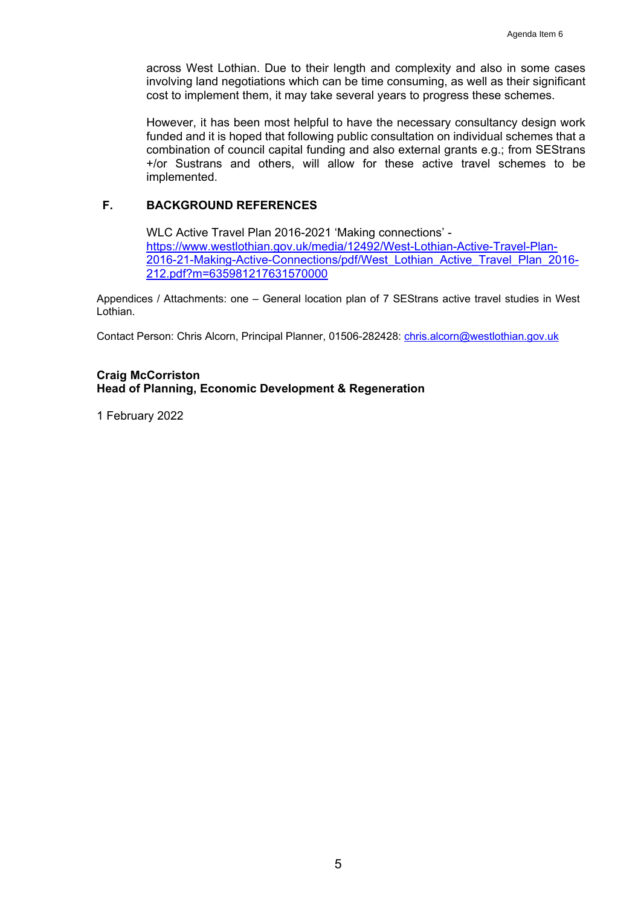across West Lothian. Due to their length and complexity and also in some cases involving land negotiations which can be time consuming, as well as their significant cost to implement them, it may take several years to progress these schemes.

However, it has been most helpful to have the necessary consultancy design work funded and it is hoped that following public consultation on individual schemes that a combination of council capital funding and also external grants e.g.; from SEStrans +/or Sustrans and others, will allow for these active travel schemes to be implemented.

# **F. BACKGROUND REFERENCES**

WLC Active Travel Plan 2016-2021 'Making connections' https://www.westlothian.gov.uk/media/12492/West-Lothian-Active-Travel-Plan-2016-21-Making-Active-Connections/pdf/West\_Lothian\_Active\_Travel\_Plan\_2016- 212.pdf?m=635981217631570000

Appendices / Attachments: one – General location plan of 7 SEStrans active travel studies in West Lothian.

Contact Person: Chris Alcorn, Principal Planner, 01506-282428: chris.alcorn@westlothian.gov.uk

## **Craig McCorriston Head of Planning, Economic Development & Regeneration**

1 February 2022